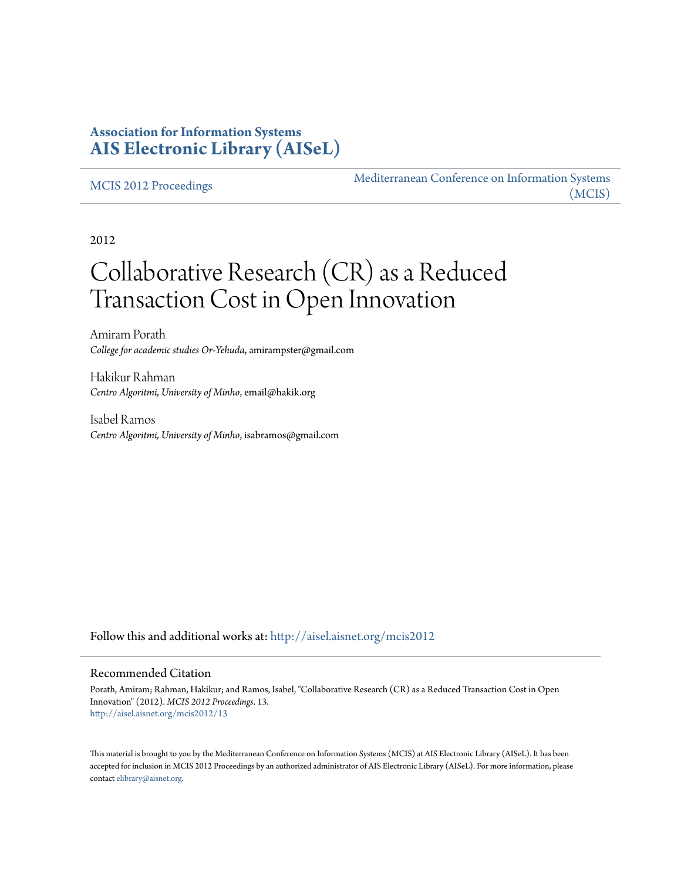## **Association for Information Systems [AIS Electronic Library \(AISeL\)](http://aisel.aisnet.org?utm_source=aisel.aisnet.org%2Fmcis2012%2F13&utm_medium=PDF&utm_campaign=PDFCoverPages)**

#### [MCIS 2012 Proceedings](http://aisel.aisnet.org/mcis2012?utm_source=aisel.aisnet.org%2Fmcis2012%2F13&utm_medium=PDF&utm_campaign=PDFCoverPages)

[Mediterranean Conference on Information Systems](http://aisel.aisnet.org/mcis?utm_source=aisel.aisnet.org%2Fmcis2012%2F13&utm_medium=PDF&utm_campaign=PDFCoverPages) [\(MCIS\)](http://aisel.aisnet.org/mcis?utm_source=aisel.aisnet.org%2Fmcis2012%2F13&utm_medium=PDF&utm_campaign=PDFCoverPages)

2012

# Collaborative Research (CR) as a Reduced Transaction Cost in Open Innovation

Amiram Porath *College for academic studies Or-Yehuda*, amirampster@gmail.com

Hakikur Rahman *Centro Algoritmi, University of Minho*, email@hakik.org

Isabel Ramos *Centro Algoritmi, University of Minho*, isabramos@gmail.com

Follow this and additional works at: [http://aisel.aisnet.org/mcis2012](http://aisel.aisnet.org/mcis2012?utm_source=aisel.aisnet.org%2Fmcis2012%2F13&utm_medium=PDF&utm_campaign=PDFCoverPages)

#### Recommended Citation

Porath, Amiram; Rahman, Hakikur; and Ramos, Isabel, "Collaborative Research (CR) as a Reduced Transaction Cost in Open Innovation" (2012). *MCIS 2012 Proceedings*. 13. [http://aisel.aisnet.org/mcis2012/13](http://aisel.aisnet.org/mcis2012/13?utm_source=aisel.aisnet.org%2Fmcis2012%2F13&utm_medium=PDF&utm_campaign=PDFCoverPages)

This material is brought to you by the Mediterranean Conference on Information Systems (MCIS) at AIS Electronic Library (AISeL). It has been accepted for inclusion in MCIS 2012 Proceedings by an authorized administrator of AIS Electronic Library (AISeL). For more information, please contact [elibrary@aisnet.org.](mailto:elibrary@aisnet.org%3E)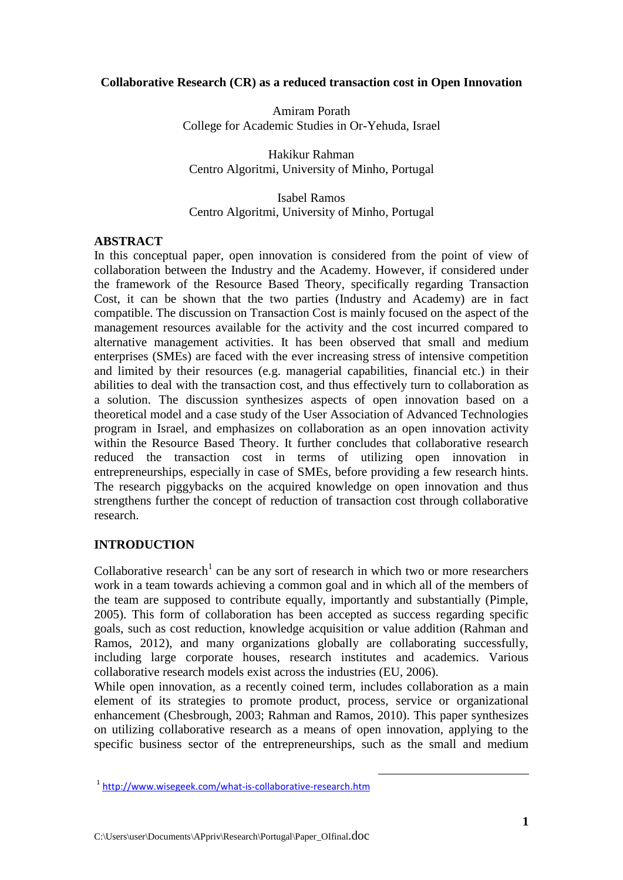## **Collaborative Research (CR) as a reduced transaction cost in Open Innovation**

Amiram Porath College for Academic Studies in Or-Yehuda, Israel

Hakikur Rahman Centro Algoritmi, University of Minho, Portugal

Isabel Ramos Centro Algoritmi, University of Minho, Portugal

#### **ABSTRACT**

In this conceptual paper, open innovation is considered from the point of view of collaboration between the Industry and the Academy. However, if considered under the framework of the Resource Based Theory, specifically regarding Transaction Cost, it can be shown that the two parties (Industry and Academy) are in fact compatible. The discussion on Transaction Cost is mainly focused on the aspect of the management resources available for the activity and the cost incurred compared to alternative management activities. It has been observed that small and medium enterprises (SMEs) are faced with the ever increasing stress of intensive competition and limited by their resources (e.g. managerial capabilities, financial etc.) in their abilities to deal with the transaction cost, and thus effectively turn to collaboration as a solution. The discussion synthesizes aspects of open innovation based on a theoretical model and a case study of the User Association of Advanced Technologies program in Israel, and emphasizes on collaboration as an open innovation activity within the Resource Based Theory. It further concludes that collaborative research reduced the transaction cost in terms of utilizing open innovation in entrepreneurships, especially in case of SMEs, before providing a few research hints. The research piggybacks on the acquired knowledge on open innovation and thus strengthens further the concept of reduction of transaction cost through collaborative research.

## **INTRODUCTION**

Collaborative research<sup>1</sup> can be any sort of research in which two or more researchers work in a team towards achieving a common goal and in which all of the members of the team are supposed to contribute equally, importantly and substantially (Pimple, 2005). This form of collaboration has been accepted as success regarding specific goals, such as cost reduction, knowledge acquisition or value addition (Rahman and Ramos, 2012), and many organizations globally are collaborating successfully, including large corporate houses, research institutes and academics. Various collaborative research models exist across the industries (EU, 2006).

While open innovation, as a recently coined term, includes collaboration as a main element of its strategies to promote product, process, service or organizational enhancement (Chesbrough, 2003; Rahman and Ramos, 2010). This paper synthesizes on utilizing collaborative research as a means of open innovation, applying to the specific business sector of the entrepreneurships, such as the small and medium

 $\overline{a}$ 

<sup>&</sup>lt;sup>1</sup> http://www.wisegeek.com/what-is-collaborative-research.htm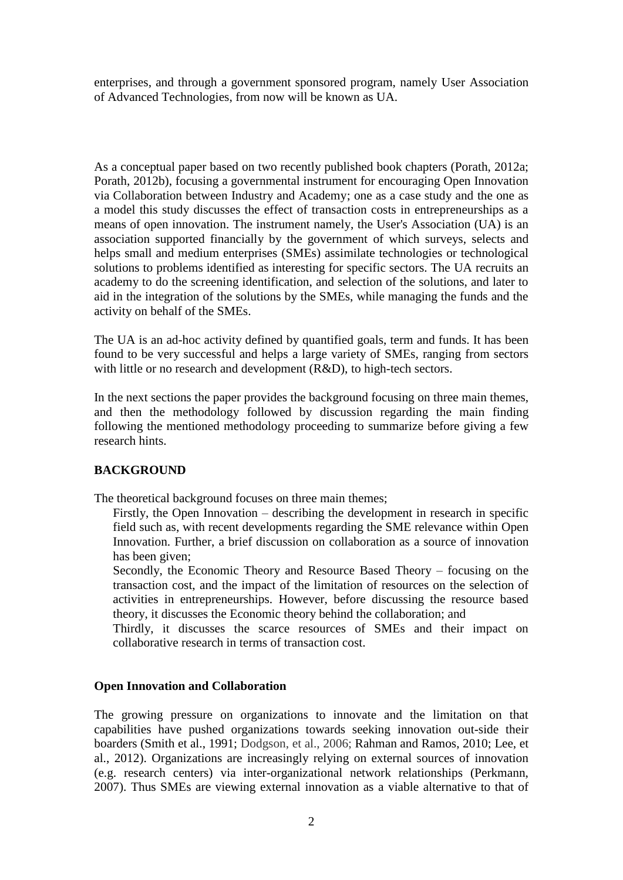enterprises, and through a government sponsored program, namely User Association of Advanced Technologies, from now will be known as UA.

As a conceptual paper based on two recently published book chapters (Porath, 2012a; Porath, 2012b), focusing a governmental instrument for encouraging Open Innovation via Collaboration between Industry and Academy; one as a case study and the one as a model this study discusses the effect of transaction costs in entrepreneurships as a means of open innovation. The instrument namely, the User's Association (UA) is an association supported financially by the government of which surveys, selects and helps small and medium enterprises (SMEs) assimilate technologies or technological solutions to problems identified as interesting for specific sectors. The UA recruits an academy to do the screening identification, and selection of the solutions, and later to aid in the integration of the solutions by the SMEs, while managing the funds and the activity on behalf of the SMEs.

The UA is an ad-hoc activity defined by quantified goals, term and funds. It has been found to be very successful and helps a large variety of SMEs, ranging from sectors with little or no research and development (R&D), to high-tech sectors.

In the next sections the paper provides the background focusing on three main themes, and then the methodology followed by discussion regarding the main finding following the mentioned methodology proceeding to summarize before giving a few research hints.

## **BACKGROUND**

The theoretical background focuses on three main themes;

Firstly, the Open Innovation – describing the development in research in specific field such as, with recent developments regarding the SME relevance within Open Innovation. Further, a brief discussion on collaboration as a source of innovation has been given;

Secondly, the Economic Theory and Resource Based Theory – focusing on the transaction cost, and the impact of the limitation of resources on the selection of activities in entrepreneurships. However, before discussing the resource based theory, it discusses the Economic theory behind the collaboration; and

Thirdly, it discusses the scarce resources of SMEs and their impact on collaborative research in terms of transaction cost.

## **Open Innovation and Collaboration**

The growing pressure on organizations to innovate and the limitation on that capabilities have pushed organizations towards seeking innovation out-side their boarders (Smith et al., 1991; Dodgson, et al., 2006; Rahman and Ramos, 2010; Lee, et al., 2012). Organizations are increasingly relying on external sources of innovation (e.g. research centers) via inter-organizational network relationships (Perkmann, 2007). Thus SMEs are viewing external innovation as a viable alternative to that of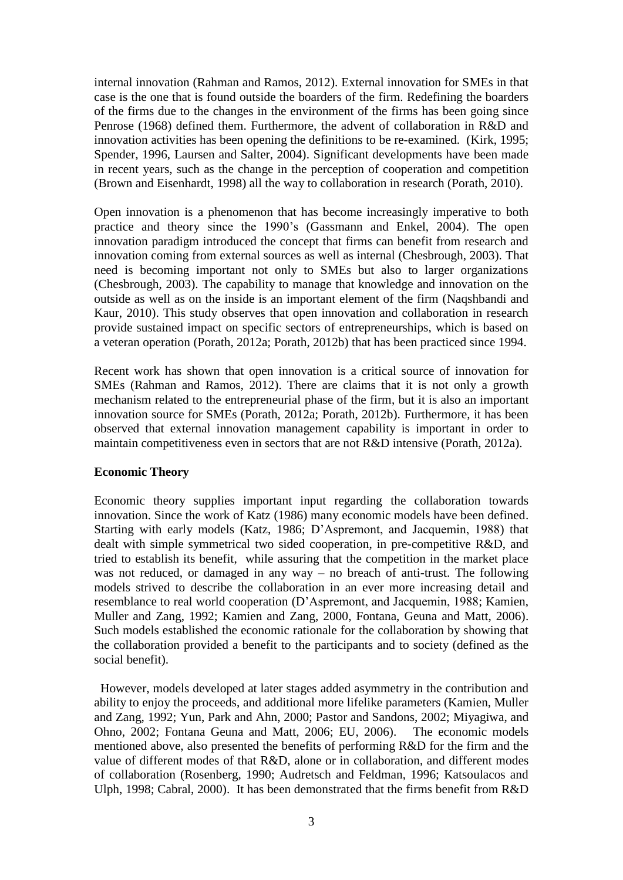internal innovation (Rahman and Ramos, 2012). External innovation for SMEs in that case is the one that is found outside the boarders of the firm. Redefining the boarders of the firms due to the changes in the environment of the firms has been going since Penrose (1968) defined them. Furthermore, the advent of collaboration in R&D and innovation activities has been opening the definitions to be re-examined. (Kirk, 1995; Spender, 1996, Laursen and Salter, 2004). Significant developments have been made in recent years, such as the change in the perception of cooperation and competition (Brown and Eisenhardt, 1998) all the way to collaboration in research (Porath, 2010).

Open innovation is a phenomenon that has become increasingly imperative to both practice and theory since the 1990's (Gassmann and Enkel, 2004). The open innovation paradigm introduced the concept that firms can benefit from research and innovation coming from external sources as well as internal (Chesbrough, 2003). That need is becoming important not only to SMEs but also to larger organizations (Chesbrough, 2003). The capability to manage that knowledge and innovation on the outside as well as on the inside is an important element of the firm (Naqshbandi and Kaur, 2010). This study observes that open innovation and collaboration in research provide sustained impact on specific sectors of entrepreneurships, which is based on a veteran operation (Porath, 2012a; Porath, 2012b) that has been practiced since 1994.

Recent work has shown that open innovation is a critical source of innovation for SMEs (Rahman and Ramos, 2012). There are claims that it is not only a growth mechanism related to the entrepreneurial phase of the firm, but it is also an important innovation source for SMEs (Porath, 2012a; Porath, 2012b). Furthermore, it has been observed that external innovation management capability is important in order to maintain competitiveness even in sectors that are not R&D intensive (Porath, 2012a).

## **Economic Theory**

Economic theory supplies important input regarding the collaboration towards innovation. Since the work of Katz (1986) many economic models have been defined. Starting with early models (Katz, 1986; D'Aspremont, and Jacquemin, 1988) that dealt with simple symmetrical two sided cooperation, in pre-competitive R&D, and tried to establish its benefit, while assuring that the competition in the market place was not reduced, or damaged in any way – no breach of anti-trust. The following models strived to describe the collaboration in an ever more increasing detail and resemblance to real world cooperation (D'Aspremont, and Jacquemin, 1988; Kamien, Muller and Zang, 1992; Kamien and Zang, 2000, Fontana, Geuna and Matt, 2006). Such models established the economic rationale for the collaboration by showing that the collaboration provided a benefit to the participants and to society (defined as the social benefit).

However, models developed at later stages added asymmetry in the contribution and ability to enjoy the proceeds, and additional more lifelike parameters (Kamien, Muller and Zang, 1992; Yun, Park and Ahn, 2000; Pastor and Sandons, 2002; Miyagiwa, and Ohno, 2002; Fontana Geuna and Matt, 2006; EU, 2006). The economic models mentioned above, also presented the benefits of performing R&D for the firm and the value of different modes of that R&D, alone or in collaboration, and different modes of collaboration (Rosenberg, 1990; Audretsch and Feldman, 1996; Katsoulacos and Ulph, 1998; Cabral, 2000). It has been demonstrated that the firms benefit from R&D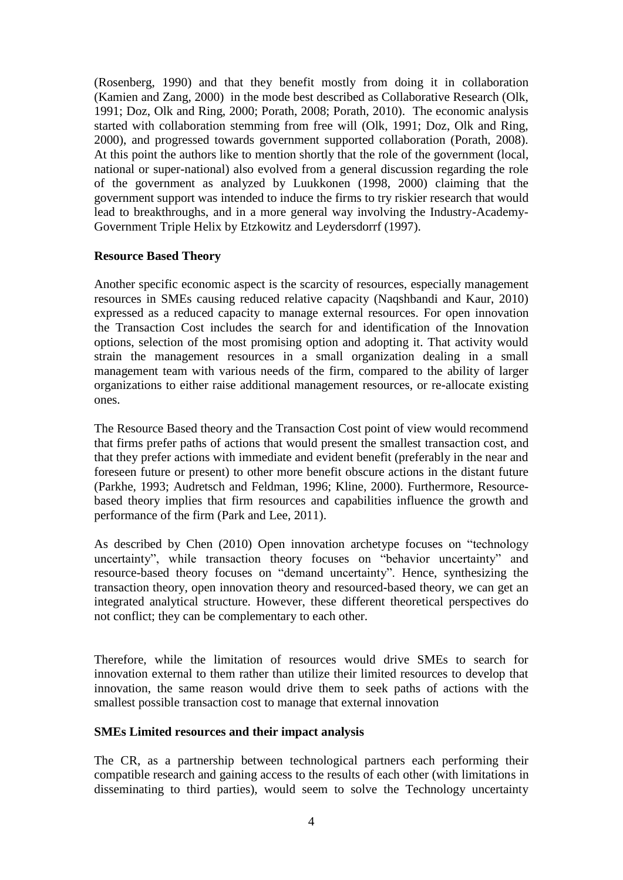(Rosenberg, 1990) and that they benefit mostly from doing it in collaboration (Kamien and Zang, 2000) in the mode best described as Collaborative Research (Olk, 1991; Doz, Olk and Ring, 2000; Porath, 2008; Porath, 2010). The economic analysis started with collaboration stemming from free will (Olk, 1991; Doz, Olk and Ring, 2000), and progressed towards government supported collaboration (Porath, 2008). At this point the authors like to mention shortly that the role of the government (local, national or super-national) also evolved from a general discussion regarding the role of the government as analyzed by Luukkonen (1998, 2000) claiming that the government support was intended to induce the firms to try riskier research that would lead to breakthroughs, and in a more general way involving the Industry-Academy-Government Triple Helix by Etzkowitz and Leydersdorrf (1997).

## **Resource Based Theory**

Another specific economic aspect is the scarcity of resources, especially management resources in SMEs causing reduced relative capacity (Naqshbandi and Kaur, 2010) expressed as a reduced capacity to manage external resources. For open innovation the Transaction Cost includes the search for and identification of the Innovation options, selection of the most promising option and adopting it. That activity would strain the management resources in a small organization dealing in a small management team with various needs of the firm, compared to the ability of larger organizations to either raise additional management resources, or re-allocate existing ones.

The Resource Based theory and the Transaction Cost point of view would recommend that firms prefer paths of actions that would present the smallest transaction cost, and that they prefer actions with immediate and evident benefit (preferably in the near and foreseen future or present) to other more benefit obscure actions in the distant future (Parkhe, 1993; Audretsch and Feldman, 1996; Kline, 2000). Furthermore, Resourcebased theory implies that firm resources and capabilities influence the growth and performance of the firm (Park and Lee, 2011).

As described by Chen (2010) Open innovation archetype focuses on "technology uncertainty", while transaction theory focuses on "behavior uncertainty" and resource-based theory focuses on "demand uncertainty". Hence, synthesizing the transaction theory, open innovation theory and resourced-based theory, we can get an integrated analytical structure. However, these different theoretical perspectives do not conflict; they can be complementary to each other.

Therefore, while the limitation of resources would drive SMEs to search for innovation external to them rather than utilize their limited resources to develop that innovation, the same reason would drive them to seek paths of actions with the smallest possible transaction cost to manage that external innovation

## **SMEs Limited resources and their impact analysis**

The CR, as a partnership between technological partners each performing their compatible research and gaining access to the results of each other (with limitations in disseminating to third parties), would seem to solve the Technology uncertainty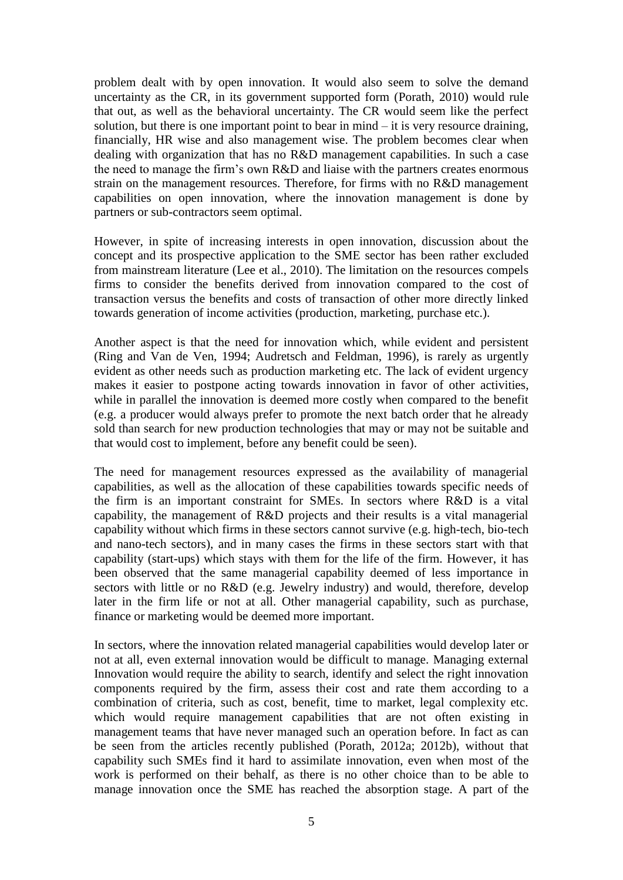problem dealt with by open innovation. It would also seem to solve the demand uncertainty as the CR, in its government supported form (Porath, 2010) would rule that out, as well as the behavioral uncertainty. The CR would seem like the perfect solution, but there is one important point to bear in mind – it is very resource draining, financially, HR wise and also management wise. The problem becomes clear when dealing with organization that has no R&D management capabilities. In such a case the need to manage the firm's own R&D and liaise with the partners creates enormous strain on the management resources. Therefore, for firms with no R&D management capabilities on open innovation, where the innovation management is done by partners or sub-contractors seem optimal.

However, in spite of increasing interests in open innovation, discussion about the concept and its prospective application to the SME sector has been rather excluded from mainstream literature (Lee et al., 2010). The limitation on the resources compels firms to consider the benefits derived from innovation compared to the cost of transaction versus the benefits and costs of transaction of other more directly linked towards generation of income activities (production, marketing, purchase etc.).

Another aspect is that the need for innovation which, while evident and persistent (Ring and Van de Ven, 1994; Audretsch and Feldman, 1996), is rarely as urgently evident as other needs such as production marketing etc. The lack of evident urgency makes it easier to postpone acting towards innovation in favor of other activities, while in parallel the innovation is deemed more costly when compared to the benefit (e.g. a producer would always prefer to promote the next batch order that he already sold than search for new production technologies that may or may not be suitable and that would cost to implement, before any benefit could be seen).

The need for management resources expressed as the availability of managerial capabilities, as well as the allocation of these capabilities towards specific needs of the firm is an important constraint for SMEs. In sectors where R&D is a vital capability, the management of R&D projects and their results is a vital managerial capability without which firms in these sectors cannot survive (e.g. high-tech, bio-tech and nano-tech sectors), and in many cases the firms in these sectors start with that capability (start-ups) which stays with them for the life of the firm. However, it has been observed that the same managerial capability deemed of less importance in sectors with little or no R&D (e.g. Jewelry industry) and would, therefore, develop later in the firm life or not at all. Other managerial capability, such as purchase, finance or marketing would be deemed more important.

In sectors, where the innovation related managerial capabilities would develop later or not at all, even external innovation would be difficult to manage. Managing external Innovation would require the ability to search, identify and select the right innovation components required by the firm, assess their cost and rate them according to a combination of criteria, such as cost, benefit, time to market, legal complexity etc. which would require management capabilities that are not often existing in management teams that have never managed such an operation before. In fact as can be seen from the articles recently published (Porath, 2012a; 2012b), without that capability such SMEs find it hard to assimilate innovation, even when most of the work is performed on their behalf, as there is no other choice than to be able to manage innovation once the SME has reached the absorption stage. A part of the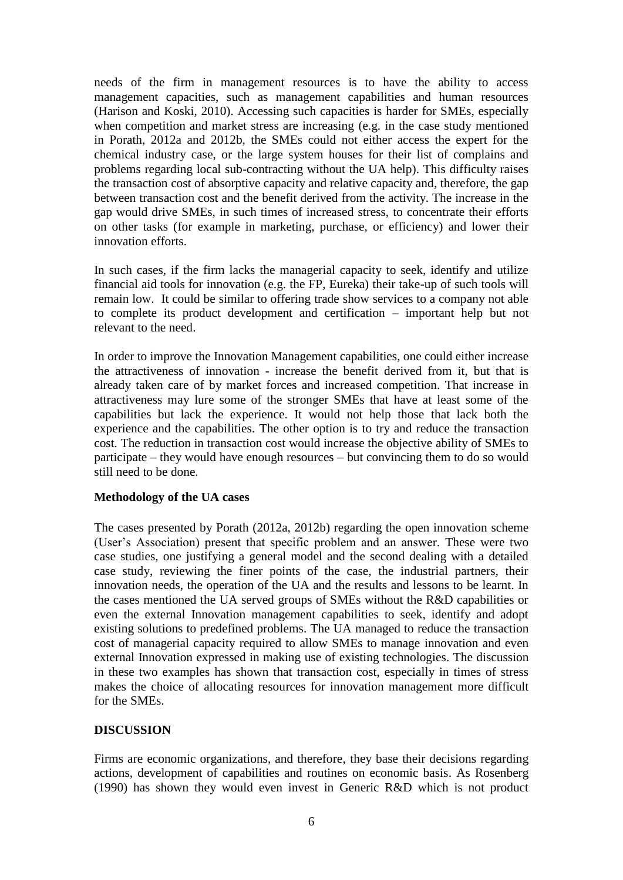needs of the firm in management resources is to have the ability to access management capacities, such as management capabilities and human resources (Harison and Koski, 2010). Accessing such capacities is harder for SMEs, especially when competition and market stress are increasing (e.g. in the case study mentioned in Porath, 2012a and 2012b, the SMEs could not either access the expert for the chemical industry case, or the large system houses for their list of complains and problems regarding local sub-contracting without the UA help). This difficulty raises the transaction cost of absorptive capacity and relative capacity and, therefore, the gap between transaction cost and the benefit derived from the activity. The increase in the gap would drive SMEs, in such times of increased stress, to concentrate their efforts on other tasks (for example in marketing, purchase, or efficiency) and lower their innovation efforts.

In such cases, if the firm lacks the managerial capacity to seek, identify and utilize financial aid tools for innovation (e.g. the FP, Eureka) their take-up of such tools will remain low. It could be similar to offering trade show services to a company not able to complete its product development and certification – important help but not relevant to the need.

In order to improve the Innovation Management capabilities, one could either increase the attractiveness of innovation - increase the benefit derived from it, but that is already taken care of by market forces and increased competition. That increase in attractiveness may lure some of the stronger SMEs that have at least some of the capabilities but lack the experience. It would not help those that lack both the experience and the capabilities. The other option is to try and reduce the transaction cost. The reduction in transaction cost would increase the objective ability of SMEs to participate – they would have enough resources – but convincing them to do so would still need to be done.

## **Methodology of the UA cases**

The cases presented by Porath (2012a, 2012b) regarding the open innovation scheme (User's Association) present that specific problem and an answer. These were two case studies, one justifying a general model and the second dealing with a detailed case study, reviewing the finer points of the case, the industrial partners, their innovation needs, the operation of the UA and the results and lessons to be learnt. In the cases mentioned the UA served groups of SMEs without the R&D capabilities or even the external Innovation management capabilities to seek, identify and adopt existing solutions to predefined problems. The UA managed to reduce the transaction cost of managerial capacity required to allow SMEs to manage innovation and even external Innovation expressed in making use of existing technologies. The discussion in these two examples has shown that transaction cost, especially in times of stress makes the choice of allocating resources for innovation management more difficult for the SMEs.

## **DISCUSSION**

Firms are economic organizations, and therefore, they base their decisions regarding actions, development of capabilities and routines on economic basis. As Rosenberg (1990) has shown they would even invest in Generic R&D which is not product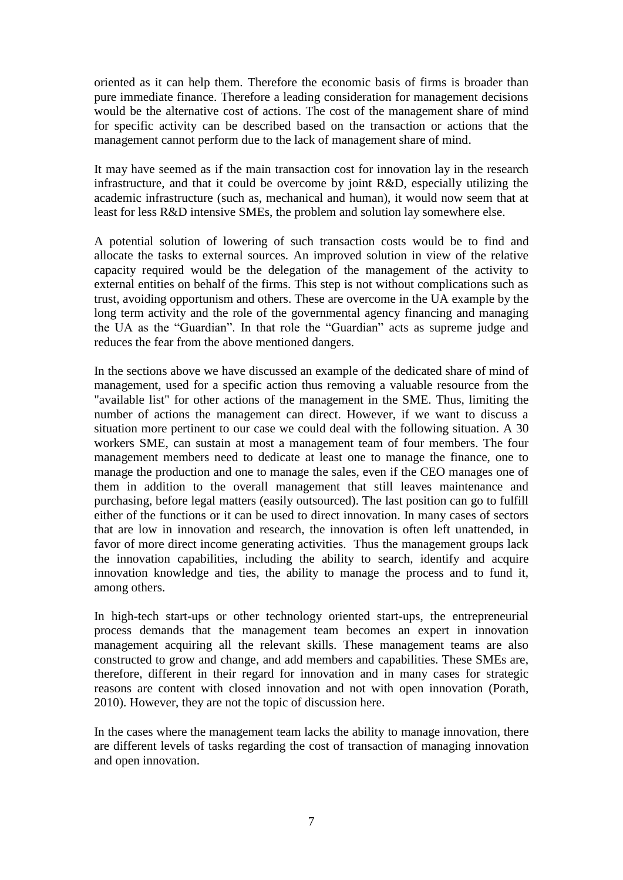oriented as it can help them. Therefore the economic basis of firms is broader than pure immediate finance. Therefore a leading consideration for management decisions would be the alternative cost of actions. The cost of the management share of mind for specific activity can be described based on the transaction or actions that the management cannot perform due to the lack of management share of mind.

It may have seemed as if the main transaction cost for innovation lay in the research infrastructure, and that it could be overcome by joint R&D, especially utilizing the academic infrastructure (such as, mechanical and human), it would now seem that at least for less R&D intensive SMEs, the problem and solution lay somewhere else.

A potential solution of lowering of such transaction costs would be to find and allocate the tasks to external sources. An improved solution in view of the relative capacity required would be the delegation of the management of the activity to external entities on behalf of the firms. This step is not without complications such as trust, avoiding opportunism and others. These are overcome in the UA example by the long term activity and the role of the governmental agency financing and managing the UA as the "Guardian". In that role the "Guardian" acts as supreme judge and reduces the fear from the above mentioned dangers.

In the sections above we have discussed an example of the dedicated share of mind of management, used for a specific action thus removing a valuable resource from the "available list" for other actions of the management in the SME. Thus, limiting the number of actions the management can direct. However, if we want to discuss a situation more pertinent to our case we could deal with the following situation. A 30 workers SME, can sustain at most a management team of four members. The four management members need to dedicate at least one to manage the finance, one to manage the production and one to manage the sales, even if the CEO manages one of them in addition to the overall management that still leaves maintenance and purchasing, before legal matters (easily outsourced). The last position can go to fulfill either of the functions or it can be used to direct innovation. In many cases of sectors that are low in innovation and research, the innovation is often left unattended, in favor of more direct income generating activities. Thus the management groups lack the innovation capabilities, including the ability to search, identify and acquire innovation knowledge and ties, the ability to manage the process and to fund it, among others.

In high-tech start-ups or other technology oriented start-ups, the entrepreneurial process demands that the management team becomes an expert in innovation management acquiring all the relevant skills. These management teams are also constructed to grow and change, and add members and capabilities. These SMEs are, therefore, different in their regard for innovation and in many cases for strategic reasons are content with closed innovation and not with open innovation (Porath, 2010). However, they are not the topic of discussion here.

In the cases where the management team lacks the ability to manage innovation, there are different levels of tasks regarding the cost of transaction of managing innovation and open innovation.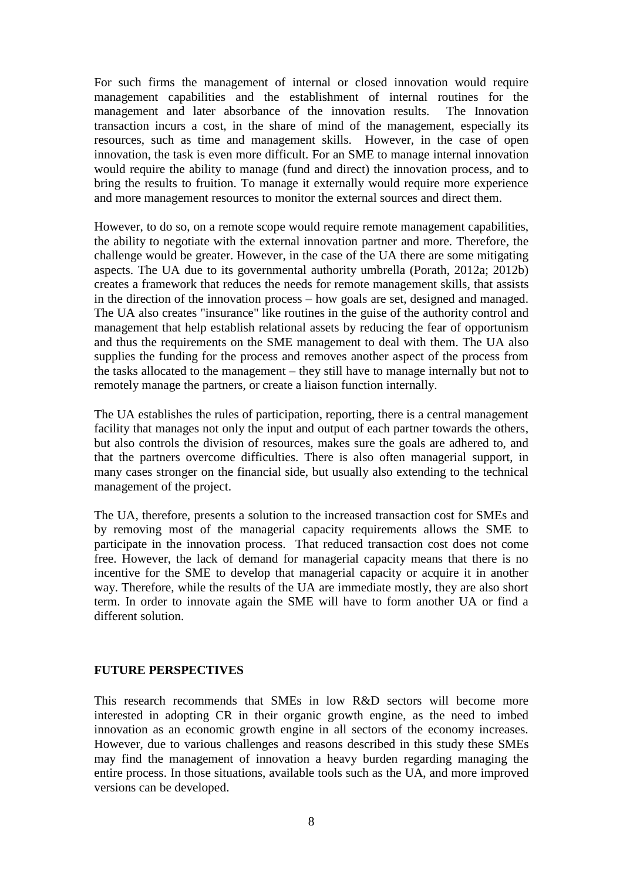For such firms the management of internal or closed innovation would require management capabilities and the establishment of internal routines for the management and later absorbance of the innovation results. The Innovation transaction incurs a cost, in the share of mind of the management, especially its resources, such as time and management skills. However, in the case of open innovation, the task is even more difficult. For an SME to manage internal innovation would require the ability to manage (fund and direct) the innovation process, and to bring the results to fruition. To manage it externally would require more experience and more management resources to monitor the external sources and direct them.

However, to do so, on a remote scope would require remote management capabilities, the ability to negotiate with the external innovation partner and more. Therefore, the challenge would be greater. However, in the case of the UA there are some mitigating aspects. The UA due to its governmental authority umbrella (Porath, 2012a; 2012b) creates a framework that reduces the needs for remote management skills, that assists in the direction of the innovation process – how goals are set, designed and managed. The UA also creates "insurance" like routines in the guise of the authority control and management that help establish relational assets by reducing the fear of opportunism and thus the requirements on the SME management to deal with them. The UA also supplies the funding for the process and removes another aspect of the process from the tasks allocated to the management – they still have to manage internally but not to remotely manage the partners, or create a liaison function internally.

The UA establishes the rules of participation, reporting, there is a central management facility that manages not only the input and output of each partner towards the others, but also controls the division of resources, makes sure the goals are adhered to, and that the partners overcome difficulties. There is also often managerial support, in many cases stronger on the financial side, but usually also extending to the technical management of the project.

The UA, therefore, presents a solution to the increased transaction cost for SMEs and by removing most of the managerial capacity requirements allows the SME to participate in the innovation process. That reduced transaction cost does not come free. However, the lack of demand for managerial capacity means that there is no incentive for the SME to develop that managerial capacity or acquire it in another way. Therefore, while the results of the UA are immediate mostly, they are also short term. In order to innovate again the SME will have to form another UA or find a different solution.

## **FUTURE PERSPECTIVES**

This research recommends that SMEs in low R&D sectors will become more interested in adopting CR in their organic growth engine, as the need to imbed innovation as an economic growth engine in all sectors of the economy increases. However, due to various challenges and reasons described in this study these SMEs may find the management of innovation a heavy burden regarding managing the entire process. In those situations, available tools such as the UA, and more improved versions can be developed.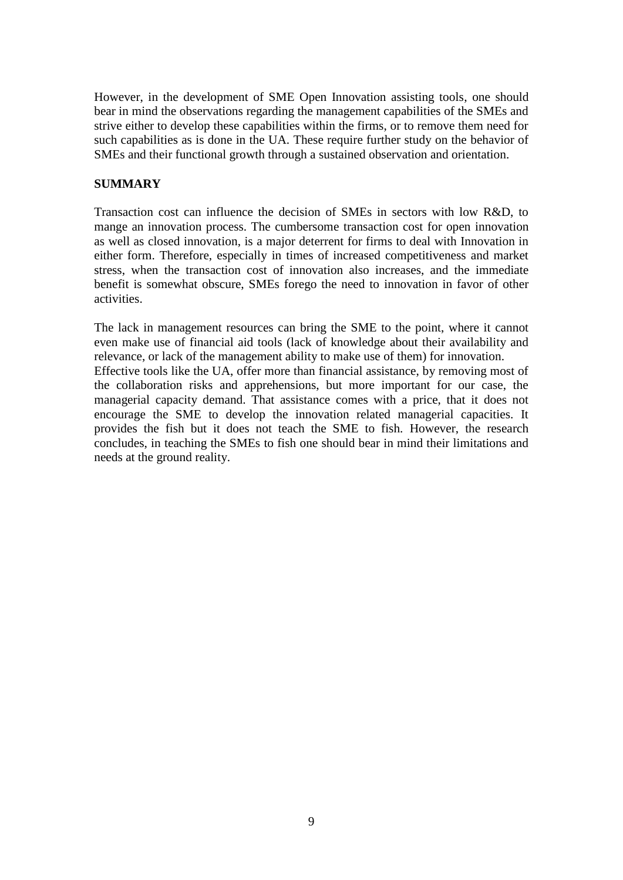However, in the development of SME Open Innovation assisting tools, one should bear in mind the observations regarding the management capabilities of the SMEs and strive either to develop these capabilities within the firms, or to remove them need for such capabilities as is done in the UA. These require further study on the behavior of SMEs and their functional growth through a sustained observation and orientation.

## **SUMMARY**

Transaction cost can influence the decision of SMEs in sectors with low R&D, to mange an innovation process. The cumbersome transaction cost for open innovation as well as closed innovation, is a major deterrent for firms to deal with Innovation in either form. Therefore, especially in times of increased competitiveness and market stress, when the transaction cost of innovation also increases, and the immediate benefit is somewhat obscure, SMEs forego the need to innovation in favor of other activities.

The lack in management resources can bring the SME to the point, where it cannot even make use of financial aid tools (lack of knowledge about their availability and relevance, or lack of the management ability to make use of them) for innovation. Effective tools like the UA, offer more than financial assistance, by removing most of the collaboration risks and apprehensions, but more important for our case, the managerial capacity demand. That assistance comes with a price, that it does not encourage the SME to develop the innovation related managerial capacities. It provides the fish but it does not teach the SME to fish. However, the research concludes, in teaching the SMEs to fish one should bear in mind their limitations and needs at the ground reality.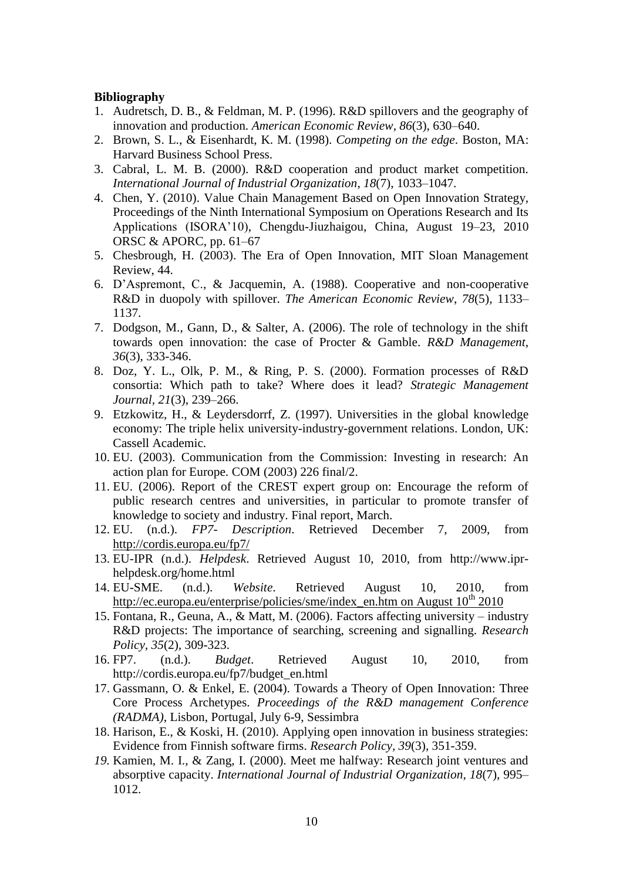#### **Bibliography**

- 1. Audretsch, D. B., & Feldman, M. P. (1996). R&D spillovers and the geography of innovation and production. *American Economic Review*, *86*(3), 630–640.
- 2. Brown, S. L., & Eisenhardt, K. M. (1998). *Competing on the edge*. Boston, MA: Harvard Business School Press.
- 3. Cabral, L. M. B. (2000). R&D cooperation and product market competition. *International Journal of Industrial Organization*, *18*(7), 1033–1047.
- 4. Chen, Y. (2010). Value Chain Management Based on Open Innovation Strategy, Proceedings of the Ninth International Symposium on Operations Research and Its Applications (ISORA'10), Chengdu-Jiuzhaigou, China, August 19–23, 2010 ORSC & APORC, pp. 61–67
- 5. Chesbrough, H. (2003). The Era of Open Innovation, MIT Sloan Management Review, 44.
- 6. D'Aspremont, C., & Jacquemin, A. (1988). Cooperative and non-cooperative R&D in duopoly with spillover. *The American Economic Review*, *78*(5), 1133– 1137.
- 7. Dodgson, M., Gann, D., & Salter, A. (2006). The role of technology in the shift towards open innovation: the case of Procter & Gamble. *R&D Management*, *36*(3), 333-346.
- 8. Doz, Y. L., Olk, P. M., & Ring, P. S. (2000). Formation processes of R&D consortia: Which path to take? Where does it lead? *Strategic Management Journal, 21*(3), 239–266.
- 9. Etzkowitz, H., & Leydersdorrf, Z. (1997). Universities in the global knowledge economy: The triple helix university-industry-government relations. London, UK: Cassell Academic.
- 10. EU. (2003). Communication from the Commission: Investing in research: An action plan for Europe. COM (2003) 226 final/2.
- 11. EU. (2006). Report of the CREST expert group on: Encourage the reform of public research centres and universities, in particular to promote transfer of knowledge to society and industry. Final report, March.
- 12. EU. (n.d.). *FP7- Description*. Retrieved December 7, 2009, from <http://cordis.europa.eu/fp7/>
- 13. EU-IPR (n.d.). *Helpdesk*. Retrieved August 10, 2010, from http://www.iprhelpdesk.org/home.html
- 14. EU-SME. (n.d.). *Website*. Retrieved August 10, 2010, from [http://ec.europa.eu/enterprise/policies/sme/index\\_en.htm on August 10](http://ec.europa.eu/enterprise/policies/sme/index_en.htm%20on%20August%2010th%202010)<sup>th</sup> 2010
- 15. Fontana, R., Geuna, A., & Matt, M. (2006). Factors affecting university industry R&D projects: The importance of searching, screening and signalling. *Research Policy, 35*(2)*,* 309-323.
- 16. FP7. (n.d.). *Budget*. Retrieved August 10, 2010, from http://cordis.europa.eu/fp7/budget\_en.html
- 17. Gassmann, O. & Enkel, E. (2004). Towards a Theory of Open Innovation: Three Core Process Archetypes. *Proceedings of the R&D management Conference (RADMA)*, Lisbon, Portugal, July 6-9, Sessimbra
- 18. Harison, E., & Koski, H. (2010). Applying open innovation in business strategies: Evidence from Finnish software firms. *Research Policy, 39*(3), 351-359.
- *19.* Kamien, M. I., & Zang, I. (2000). Meet me halfway: Research joint ventures and absorptive capacity. *International Journal of Industrial Organization, 18*(7), 995– 1012.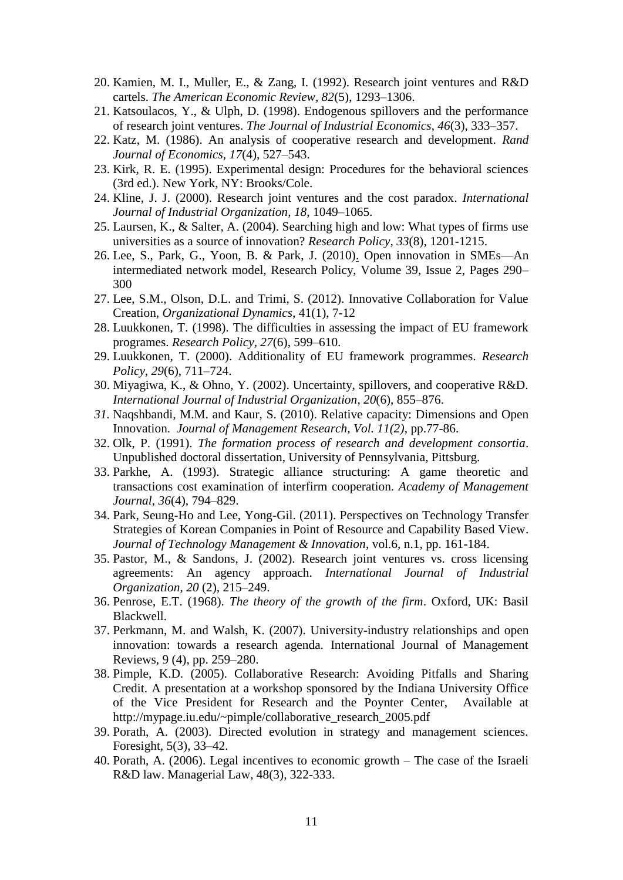- 20. Kamien, M. I., Muller, E., & Zang, I. (1992). Research joint ventures and R&D cartels. *The American Economic Review, 82*(5), 1293–1306.
- 21. Katsoulacos, Y., & Ulph, D. (1998). Endogenous spillovers and the performance of research joint ventures. *The Journal of Industrial Economics*, *46*(3), 333–357.
- 22. Katz, M. (1986). An analysis of cooperative research and development. *Rand Journal of Economics, 17*(4), 527–543.
- 23. Kirk, R. E. (1995). Experimental design: Procedures for the behavioral sciences (3rd ed.). New York, NY: Brooks/Cole.
- 24. Kline, J. J. (2000). Research joint ventures and the cost paradox. *International Journal of Industrial Organization*, *18*, 1049–1065.
- 25. Laursen, K., & Salter, A. (2004). Searching high and low: What types of firms use universities as a source of innovation? *Research Policy, 33*(8), 1201-1215.
- 26. Lee, S., Park, G., Yoon, B. & Park, J. (2010[\).](http://www.sciencedirect.com/science/article/pii/S0048733309002248#aff4) Open innovation in SMEs—An intermediated network model, Research Policy, Volume 39, Issue 2, Pages 290– 300
- 27. Lee, S.M., Olson, D.L. and Trimi, S. (2012). Innovative Collaboration for Value Creation, *Organizational Dynamics*, 41(1), 7-12
- 28. Luukkonen, T. (1998). The difficulties in assessing the impact of EU framework programes. *Research Policy, 27*(6), 599–610.
- 29. Luukkonen, T. (2000). Additionality of EU framework programmes. *Research Policy, 29*(6), 711–724.
- 30. Miyagiwa, K., & Ohno, Y. (2002). Uncertainty, spillovers, and cooperative R&D. *International Journal of Industrial Organization*, *20*(6), 855–876.
- *31.* Naqshbandi, M.M. and Kaur, S. (2010). Relative capacity: Dimensions and Open Innovation. *Journal of Management Research, Vol. 11(2)*, pp.77-86.
- 32. Olk, P. (1991). *The formation process of research and development consortia*. Unpublished doctoral dissertation, University of Pennsylvania, Pittsburg.
- 33. Parkhe, A. (1993). Strategic alliance structuring: A game theoretic and transactions cost examination of interfirm cooperation. *Academy of Management Journal*, *36*(4), 794–829.
- 34. Park, Seung-Ho and Lee, Yong-Gil. (2011). Perspectives on Technology Transfer Strategies of Korean Companies in Point of Resource and Capability Based View. *Journal of Technology Management & Innovation*, vol.6, n.1, pp. 161-184.
- 35. Pastor, M., & Sandons, J. (2002). Research joint ventures vs. cross licensing agreements: An agency approach. *International Journal of Industrial Organization*, *20* (2), 215–249.
- 36. Penrose, E.T. (1968). *The theory of the growth of the firm*. Oxford, UK: Basil Blackwell.
- 37. Perkmann, M. and Walsh, K. (2007). University-industry relationships and open innovation: towards a research agenda. International Journal of Management Reviews, 9 (4), pp. 259–280.
- 38. Pimple, K.D. (2005). Collaborative Research: Avoiding Pitfalls and Sharing Credit. A presentation at a workshop sponsored by the Indiana University Office of the Vice President for Research and the Poynter Center, Available at http://mypage.iu.edu/~pimple/collaborative\_research\_2005.pdf
- 39. Porath, A. (2003). Directed evolution in strategy and management sciences. Foresight, 5(3), 33–42.
- 40. Porath, A. (2006). Legal incentives to economic growth The case of the Israeli R&D law. Managerial Law, 48(3), 322-333.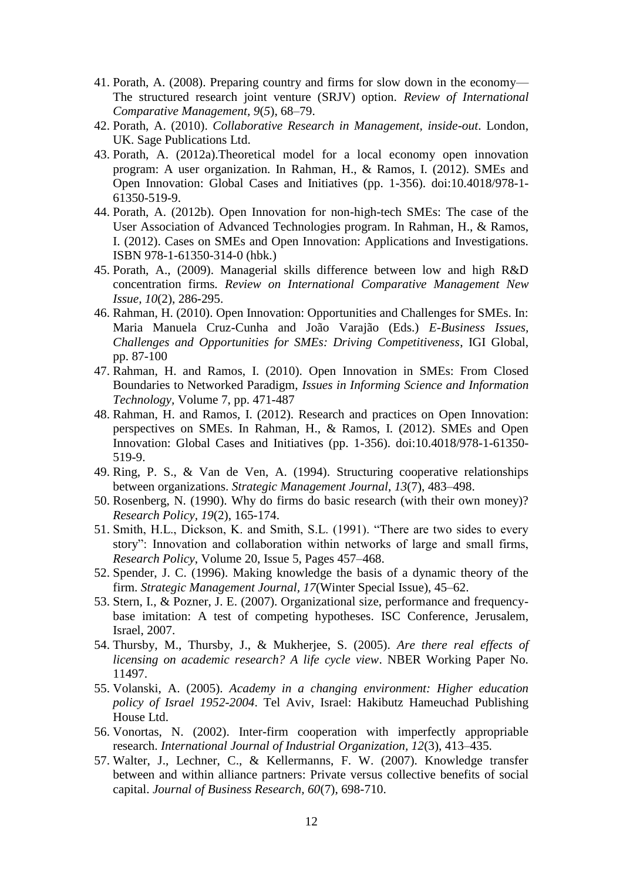- 41. Porath, A. (2008). Preparing country and firms for slow down in the economy— The structured research joint venture (SRJV) option. *Review of International Comparative Management, 9*(*5*), 68–79.
- 42. Porath, A. (2010). *Collaborative Research in Management, inside-out*. London, UK. Sage Publications Ltd.
- 43. Porath, A. (2012a).Theoretical model for a local economy open innovation program: A user organization. In Rahman, H., & Ramos, I. (2012). SMEs and Open Innovation: Global Cases and Initiatives (pp. 1-356). doi:10.4018/978-1- 61350-519-9.
- 44. Porath, A. (2012b). Open Innovation for non-high-tech SMEs: The case of the User Association of Advanced Technologies program. In Rahman, H., & Ramos, I. (2012). Cases on SMEs and Open Innovation: Applications and Investigations. ISBN 978-1-61350-314-0 (hbk.)
- 45. Porath, A., (2009). Managerial skills difference between low and high R&D concentration firms*. Review on International Comparative Management New Issue, 10*(2), 286-295.
- 46. Rahman, H. (2010). Open Innovation: Opportunities and Challenges for SMEs. In: Maria Manuela Cruz-Cunha and João Varajão (Eds.) *E-Business Issues, Challenges and Opportunities for SMEs: Driving Competitiveness*, IGI Global, pp. 87-100
- 47. Rahman, H. and Ramos, I. (2010). Open Innovation in SMEs: From Closed Boundaries to Networked Paradigm, *Issues in Informing Science and Information Technology,* Volume 7, pp. 471-487
- 48. Rahman, H. and Ramos, I. (2012). Research and practices on Open Innovation: perspectives on SMEs. In Rahman, H., & Ramos, I. (2012). SMEs and Open Innovation: Global Cases and Initiatives (pp. 1-356). doi:10.4018/978-1-61350- 519-9.
- 49. Ring, P. S., & Van de Ven, A. (1994). Structuring cooperative relationships between organizations. *Strategic Management Journal*, *13*(7), 483–498.
- 50. Rosenberg, N. (1990). Why do firms do basic research (with their own money)? *Research Policy, 19*(2), 165-174.
- 51. Smith, H.L., Dickson, K. and Smith, S.L. (1991). "There are two sides to every story": Innovation and collaboration within networks of large and small firms, *Research Policy*, Volume 20, Issue 5, Pages 457–468.
- 52. Spender, J. C. (1996). Making knowledge the basis of a dynamic theory of the firm. *Strategic Management Journal, 17*(Winter Special Issue), 45–62.
- 53. Stern, I., & Pozner, J. E. (2007). Organizational size, performance and frequencybase imitation: A test of competing hypotheses. ISC Conference, Jerusalem, Israel, 2007.
- 54. Thursby, M., Thursby, J., & Mukherjee, S. (2005). *Are there real effects of licensing on academic research? A life cycle view*. NBER Working Paper No. 11497.
- 55. Volanski, A. (2005). *Academy in a changing environment: Higher education policy of Israel 1952-2004*. Tel Aviv, Israel: Hakibutz Hameuchad Publishing House Ltd.
- 56. Vonortas, N. (2002). Inter-firm cooperation with imperfectly appropriable research. *International Journal of Industrial Organization, 12*(3), 413–435.
- 57. Walter, J., Lechner, C., & Kellermanns, F. W. (2007). Knowledge transfer between and within alliance partners: Private versus collective benefits of social capital. *Journal of Business Research, 60*(7), 698-710.